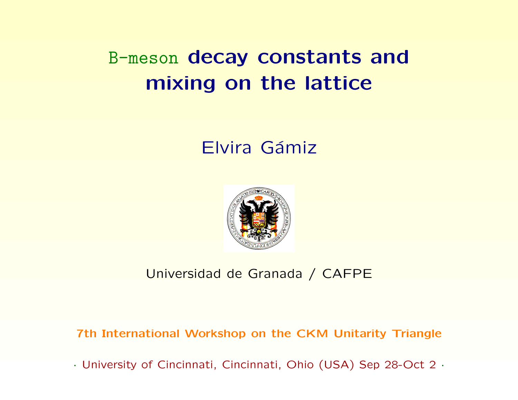# B-meson decay constants and mixing on the lattice

### Elvira Gámiz



#### Universidad de Granada / CAFPE

7th International Workshop on the CKM Unitarity Triangle

· University of Cincinnati, Cincinnati, Ohio (USA) Sep 28-Oct 2 ·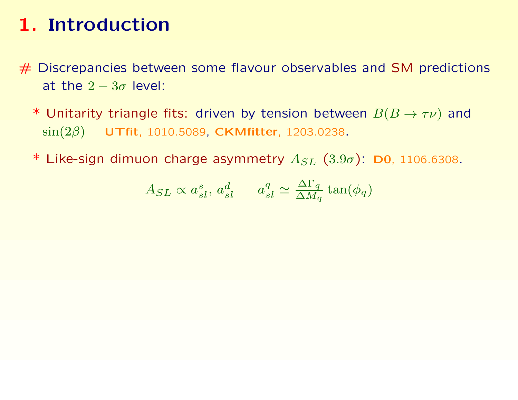- # Discrepancies between some flavour observables and SM predictions at the  $2 - 3\sigma$  level:
	- \* Unitarity triangle fits: driven by tension between  $B(B \to \tau \nu)$  and  $\sin(2\beta)$  UTfit, 1010.5089, CKMfitter, 1203.0238.
	- \* Like-sign dimuon charge asymmetry  $A_{SL}$  (3.9 $\sigma$ ): D0, 1106.6308.

$$
A_{SL} \propto a_{sl}^s, \, a_{sl}^d \qquad a_{sl}^q \simeq \frac{\Delta \Gamma_q}{\Delta M_q} \tan(\phi_q)
$$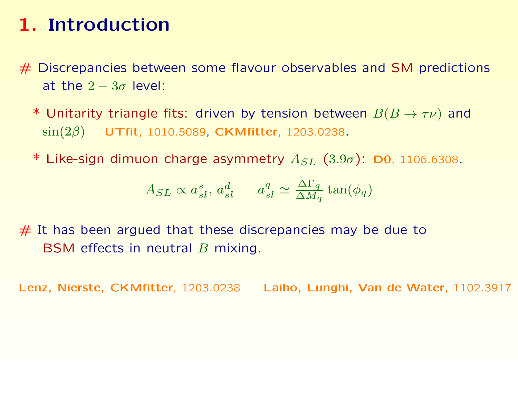$#$  Discrepancies between some flavour observables and SM predictions at the  $2 - 3\sigma$  level:

- \* Unitarity triangle fits: driven by tension between  $B(B \to \tau \nu)$  and  $\sin(2\beta)$  UTfit, 1010.5089, CKMfitter, 1203.0238.
- \* Like-sign dimuon charge asymmetry  $A_{SL}$  (3.9 $\sigma$ ): D0, 1106.6308.

$$
A_{SL} \propto a_{sl}^s, \, a_{sl}^d \qquad a_{sl}^q \simeq \frac{\Delta \Gamma_q}{\Delta M_q} \tan(\phi_q)
$$

 $#$  It has been argued that these discrepancies may be due to BSM effects in neutral B mixing.

Lenz, Nierste, CKMfitter, 1203.0238 Laiho, Lunghi, Van de Water, 1102.3917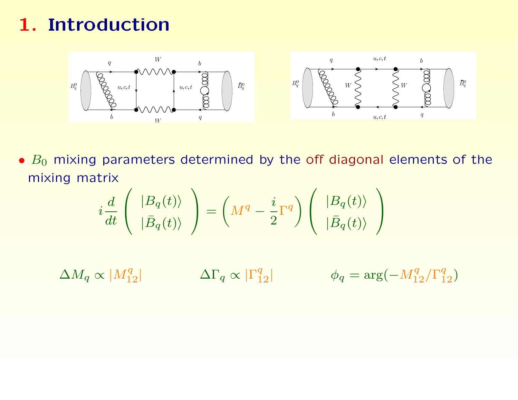

 $\bullet$   $B_0$  mixing parameters determined by the off diagonal elements of the mixing matrix

$$
i\frac{d}{dt}\left(\begin{array}{c} |B_q(t)\rangle \\ |\bar{B}_q(t)\rangle \end{array}\right)=\left(M^q-\frac{i}{2}\Gamma^q\right)\left(\begin{array}{c} |B_q(t)\rangle \\ |\bar{B}_q(t)\rangle \end{array}\right)
$$

 $\Delta M_q \propto |M_{12}^q|$   $\Delta \Gamma_q \propto |\Gamma_{12}^q|$   $\phi_q = \arg(-M_{12}^q/\Gamma_{12}^q)$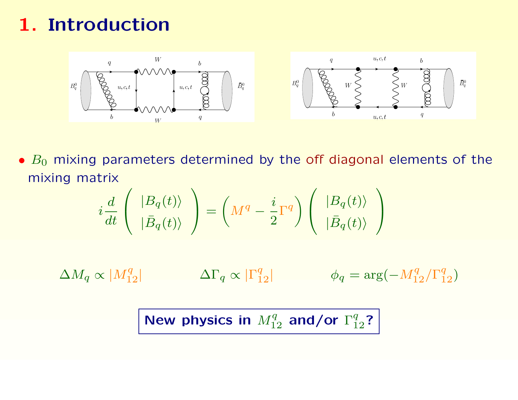

 $\bullet$   $B_0$  mixing parameters determined by the off diagonal elements of the mixing matrix

$$
i\frac{d}{dt}\left(\begin{array}{c} |B_q(t)\rangle \\ |\bar{B}_q(t)\rangle \end{array}\right)=\left(M^q-\frac{i}{2}\Gamma^q\right)\left(\begin{array}{c} |B_q(t)\rangle \\ |\bar{B}_q(t)\rangle \end{array}\right)
$$

 $\Delta M_q \propto |M_{12}^q|$   $\Delta \Gamma_q \propto |\Gamma_{12}^q|$   $\phi_q = \arg(-M_{12}^q/\Gamma_{12}^q)$ 

New physics in  $M_{12}^q$  and/or  $\Gamma_{12}^q$ ?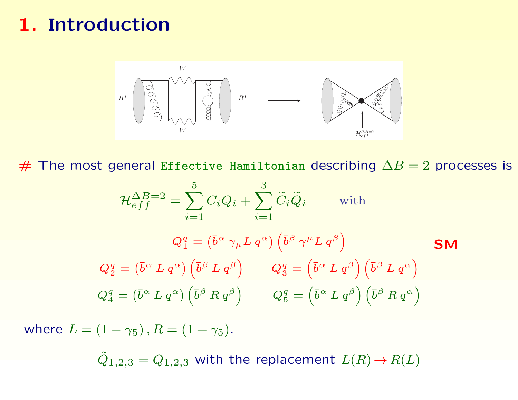

 $#$  The most general Effective Hamiltonian describing  $\Delta B = 2$  processes is

$$
\mathcal{H}_{eff}^{\Delta B=2} = \sum_{i=1}^{5} C_i Q_i + \sum_{i=1}^{3} \widetilde{C}_i \widetilde{Q}_i \quad \text{with}
$$
  

$$
Q_1^q = (\bar{b}^\alpha \gamma_\mu L q^\alpha) (\bar{b}^\beta \gamma^\mu L q^\beta)
$$
  

$$
Q_2^q = (\bar{b}^\alpha L q^\alpha) (\bar{b}^\beta L q^\beta) \qquad Q_3^q = (\bar{b}^\alpha L q^\beta) (\bar{b}^\beta L q^\alpha)
$$
  

$$
Q_4^q = (\bar{b}^\alpha L q^\alpha) (\bar{b}^\beta R q^\beta) \qquad Q_5^q = (\bar{b}^\alpha L q^\beta) (\bar{b}^\beta R q^\alpha)
$$

where  $L = (1 - \gamma_5)$ ,  $R = (1 + \gamma_5)$ .

 $\tilde{Q}_{1,2,3} = Q_{1,2,3}$  with the replacement  $L(R) \rightarrow R(L)$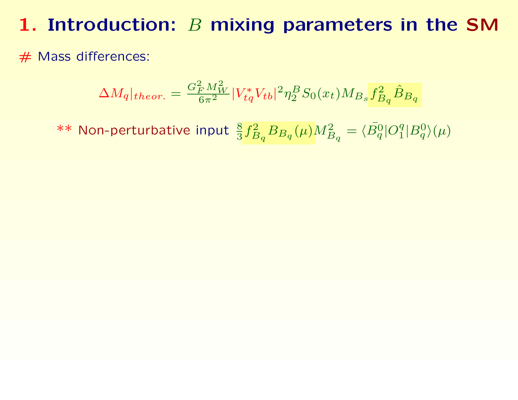## 1. Introduction:  $B$  mixing parameters in the SM

# Mass differences:

$$
\Delta M_q|_{theor.} = \frac{G_F^2 M_W^2}{6\pi^2} |V_{tq}^* V_{tb}|^2 \eta_2^B S_0(x_t) M_{Bs} f_{B_q}^2 \hat{B}_{B_q}
$$

 $**$  Non-perturbative input  $\frac{8}{3} f_B^2$  $\frac{d^{2}_{B_{q}}B_{B_{q}}(\mu)M^{2}_{B_{q}}=\langle \bar{B^{0}_{q}}|O^{q}_{1}\rangle$  $\binom{q}{1}B^0_q(\mu)$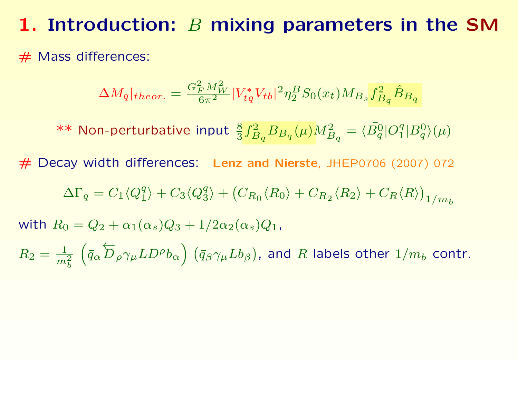### 1. Introduction:  $B$  mixing parameters in the SM

 $#$  Mass differences:

$$
\Delta M_q|_{theor.} = \frac{G_F^2 M_W^2}{6\pi^2} |V_{tq}^* V_{tb}|^2 \eta_2^B S_0(x_t) M_{Bs} f_{B_q}^2 \hat{B}_{B_q}
$$

 $**$  Non-perturbative input  $\frac{8}{3} f_B^2$  $\frac{d^{2}_{B_{q}}B_{B_{q}}(\mu)M^{2}_{B_{q}}=\langle \bar{B^{0}_{q}}|O^{q}_{1}\rangle$  $\binom{q}{1}B^0_q(\mu)$ 

# Decay width differences: Lenz and Nierste, JHEP0706 (2007) 072

$$
\Delta\Gamma_q = C_1 \langle Q_1^q \rangle + C_3 \langle Q_3^q \rangle + (C_{R_0} \langle R_0 \rangle + C_{R_2} \langle R_2 \rangle + C_R \langle R \rangle)_{1/m_b}
$$

with  $R_0 = Q_2 + \alpha_1(\alpha_s)Q_3 + 1/2\alpha_2(\alpha_s)Q_1$ ,

 $R_2 = \frac{1}{m}$  $\overline{m_b^2}$  $\overline{1}$  $\bar{q}_\alpha$ ←−  $\overleftarrow{D}_\rho \gamma_\mu LD^\rho b_\alpha\Big)$   $(\bar{q}_\beta \gamma_\mu L b_\beta)$ , and  $R$  labels other  $1/m_b$  contr.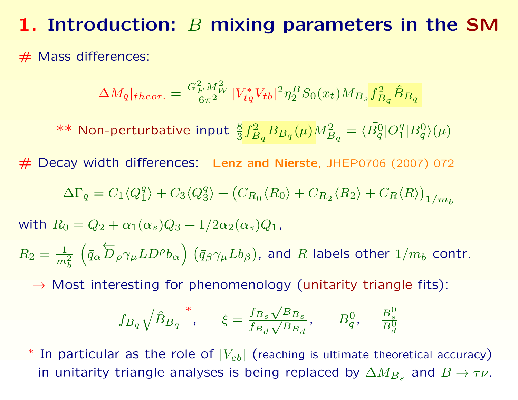### 1. Introduction:  $B$  mixing parameters in the SM

#### $#$  Mass differences:

$$
\Delta M_q|_{theor.} = \frac{G_F^2 M_W^2}{6\pi^2} |V_{tq}^* V_{tb}|^2 \eta_2^B S_0(x_t) M_{Bs} f_{B_q}^2 \hat{B}_{B_q}
$$

 $**$  Non-perturbative input  $\frac{8}{3} f_B^2$  $\frac{d^{2}_{B_{q}}B_{B_{q}}(\mu)M^{2}_{B_{q}}=\langle \bar{B^{0}_{q}}|O^{q}_{1}\rangle$  $\binom{q}{1}B^0_q(\mu)$ 

# Decay width differences: Lenz and Nierste, JHEP0706 (2007) 072

$$
\Delta\Gamma_q = C_1 \langle Q_1^q \rangle + C_3 \langle Q_3^q \rangle + (C_{R_0} \langle R_0 \rangle + C_{R_2} \langle R_2 \rangle + C_R \langle R \rangle)_{1/m_b}
$$

with  $R_0 = Q_2 + \alpha_1(\alpha_s)Q_3 + 1/2\alpha_2(\alpha_s)Q_1$ ,

 $R_2 = \frac{1}{m}$  $\overline{m_b^2}$  $\overline{1}$  $\bar{q}_\alpha$ ←−  $\overleftarrow{D}_\rho \gamma_\mu LD^\rho b_\alpha\Big)$   $(\bar{q}_\beta \gamma_\mu L b_\beta)$ , and  $R$  labels other  $1/m_b$  contr.

 $\rightarrow$  Most interesting for phenomenology (unitarity triangle fits):

$$
f_{B_q} \sqrt{\hat{B}_{B_q}}
$$
,  $\xi = \frac{f_{B_s} \sqrt{B_{B_s}}}{f_{B_d} \sqrt{B_{B_d}}}$ ,  $B_q^0$ ,  $\frac{B_s^0}{B_d^0}$ 

In particular as the role of  $|V_{cb}|$  (reaching is ultimate theoretical accuracy) in unitarity triangle analyses is being replaced by  $\Delta M_{B_s}$  and  $B\to \tau \nu.$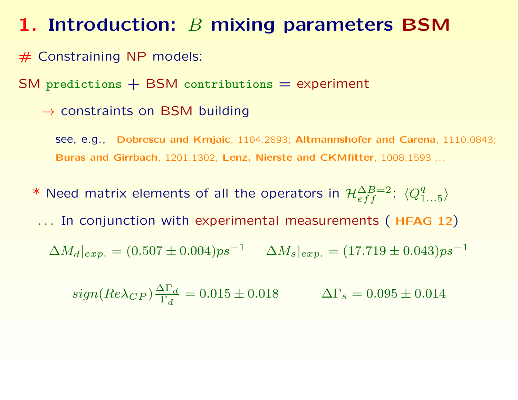## 1. Introduction:  $B$  mixing parameters BSM

# Constraining NP models:

 $SM$  predictions  $+$  BSM contributions  $=$  experiment

 $\rightarrow$  constraints on BSM building

see, e.g., Dobrescu and Krnjaic, 1104.2893; Altmannshofer and Carena, 1110.0843; Buras and Girrbach, 1201.1302, Lenz, Nierste and CKMfitter, 1008.1593 ...

\* Need matrix elements of all the operators in  $\mathcal{H}^{\Delta B=2}_{eff}$ :  $\langle Q_{1}^{q} \rangle$  $^q_{1...5} \rangle$ ... In conjunction with experimental measurements (HFAG 12)  $\Delta M_d|_{exp.} = (0.507 \pm 0.004) ps^{-1}$   $\Delta M_s|_{exp.} = (17.719 \pm 0.043) ps^{-1}$ 

$$
sign(Re\lambda_{CP})\frac{\Delta\Gamma_d}{\Gamma_d} = 0.015 \pm 0.018 \qquad \Delta\Gamma_s = 0.095 \pm 0.014
$$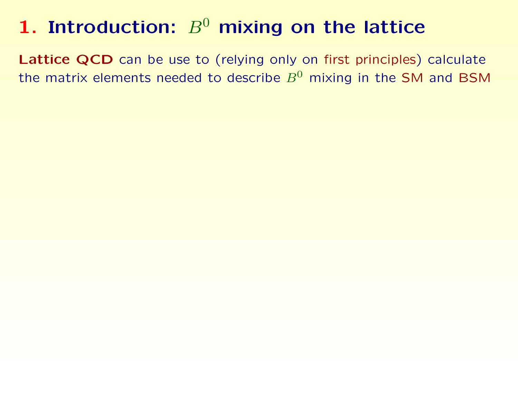Lattice QCD can be use to (relying only on first principles) calculate the matrix elements needed to describe  $B^0$  mixing in the SM and BSM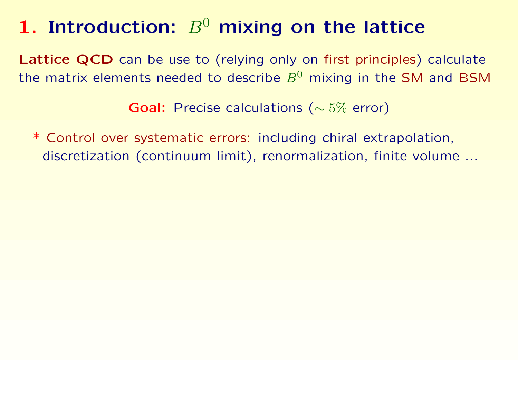Lattice QCD can be use to (relying only on first principles) calculate the matrix elements needed to describe  $B^0$  mixing in the SM and BSM

Goal: Precise calculations (∼ 5% error)

\* Control over systematic errors: including chiral extrapolation, discretization (continuum limit), renormalization, finite volume ...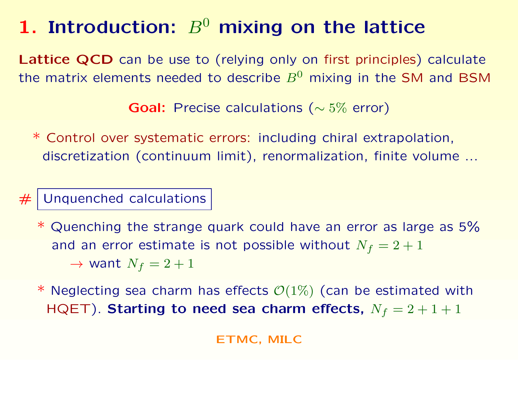Lattice QCD can be use to (relying only on first principles) calculate the matrix elements needed to describe  $B^0$  mixing in the SM and BSM

Goal: Precise calculations (∼ 5% error)

\* Control over systematic errors: including chiral extrapolation, discretization (continuum limit), renormalization, finite volume ...

 $#$  Unquenched calculations

- \* Quenching the strange quark could have an error as large as 5% and an error estimate is not possible without  $N_f = 2 + 1$  $\rightarrow$  want  $N_f = 2 + 1$
- \* Neglecting sea charm has effects  $\mathcal{O}(1\%)$  (can be estimated with HQET). Starting to need sea charm effects,  $N_f = 2 + 1 + 1$

ETMC, MILC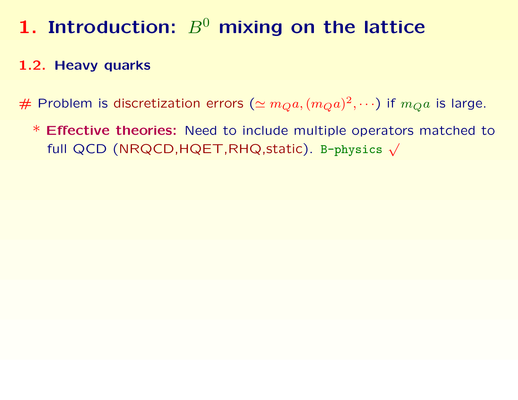### 1.2. Heavy quarks

# Problem is discretization errors  $(\simeq m_Qa, (m_Qa)^2, \cdots)$  if  $m_Qa$  is large.

\* Effective theories: Need to include multiple operators matched to full QCD (NRQCD,  $HQET, RHQ, static$ ). B-physics  $\sqrt{ }$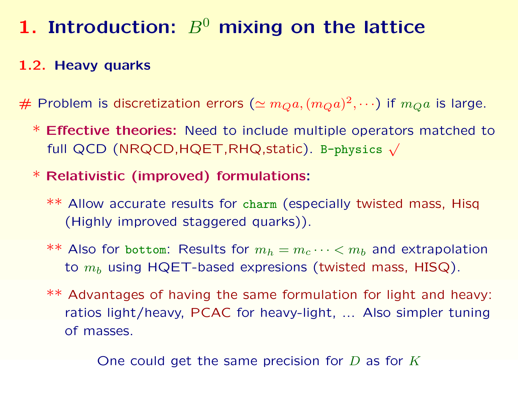### 1.2. Heavy quarks

# Problem is discretization errors  $(\simeq m_Qa, (m_Qa)^2, \cdots)$  if  $m_Qa$  is large.

- \* Effective theories: Need to include multiple operators matched to full QCD (NRQCD,HQET,RHQ,static). B-physics <sup>√</sup>
- \* Relativistic (improved) formulations:
	- \*\* Allow accurate results for charm (especially twisted mass, Hisq (Highly improved staggered quarks)).
	- $**$  Also for bottom: Results for  $m_h = m_c \cdots < m_b$  and extrapolation to  $m_b$  using HQET-based expresions (twisted mass, HISQ).
	- \*\* Advantages of having the same formulation for light and heavy: ratios light/heavy, PCAC for heavy-light, ... Also simpler tuning of masses.

One could get the same precision for  $D$  as for  $K$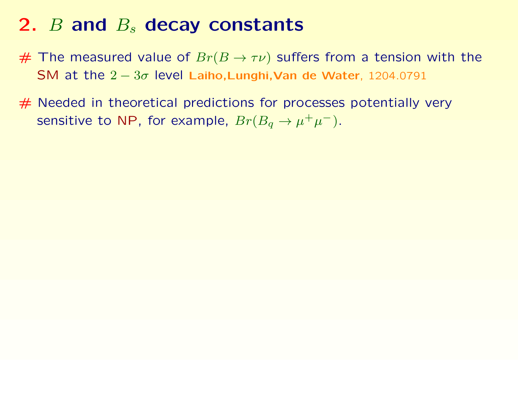## 2.  $B$  and  $B_s$  decay constants

- $#$  The measured value of  $Br(B \to \tau \nu)$  suffers from a tension with the SM at the  $2 - 3\sigma$  level Laiho,Lunghi, Van de Water, 1204.0791
- # Needed in theoretical predictions for processes potentially very sensitive to NP, for example,  $Br(B_q \to \mu^+ \mu^-)$ .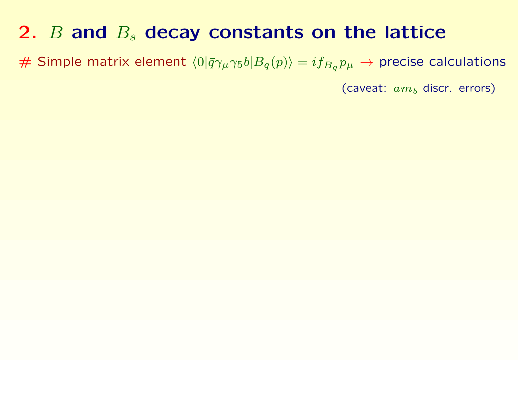# Simple matrix element  $\langle 0|\bar{q}\gamma_\mu\gamma_5 b|B_q(p)\rangle = i f_{B_q}p_\mu \to$  precise calculations

(caveat:  $am_b$  discr. errors)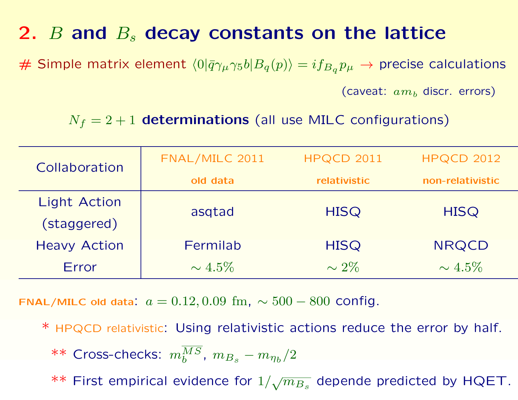# Simple matrix element  $\langle 0|\bar{q}\gamma_\mu\gamma_5 b|B_q(p)\rangle = i f_{B_q}p_\mu \to$  precise calculations

(caveat:  $am_b$  discr. errors)

 $N_f = 2 + 1$  determinations (all use MILC configurations)

| Collaboration       | FNAL/MILC 2011 | <b>HPQCD 2011</b> | <b>HPQCD 2012</b> |
|---------------------|----------------|-------------------|-------------------|
|                     | old data       | relativistic      | non-relativistic  |
| <b>Light Action</b> | asgtad         | <b>HISQ</b>       | <b>HISQ</b>       |
| (staggered)         |                |                   |                   |
| <b>Heavy Action</b> | Fermilab       | <b>HISQ</b>       | <b>NRQCD</b>      |
| Error               | $\sim 4.5\%$   | $\sim 2\%$        | $\sim 4.5\%$      |

FNAL/MILC old data:  $a = 0.12, 0.09$  fm,  $\sim 500 - 800$  config.

\* HPQCD relativistic: Using relativistic actions reduce the error by half. \*\* Cross-checks:  $m_b^{MS},\; m_{B_s} - m_{\eta_b}/2$ 

 $**$  First empirical evidence for  $1/$ √  $\overline{m_{B_s}}$  depende predicted by HQET.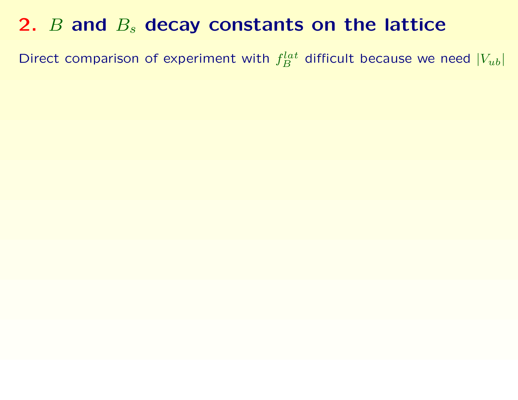Direct comparison of experiment with  $f_B^{lat}$  difficult because we need  $|V_{ub}|$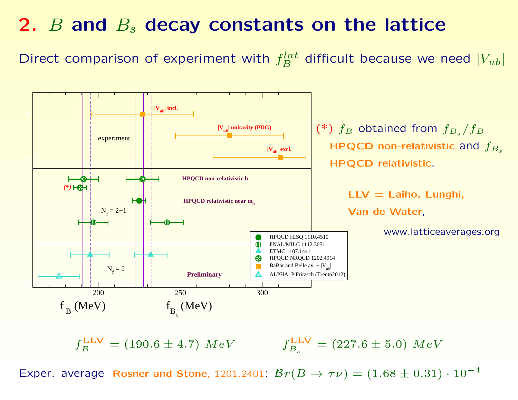Direct comparison of experiment with  $f_B^{lat}$  difficult because we need  $|V_{ub}|$ 



 $f_{B}^{\rm LLV}$  $B = (190.6 \pm 4.7) \; MeV$  f LLV  $\mathcal{E}_{B_s}^{\text{LLV}} = (227.6 \pm 5.0) \; MeV$ 

Exper. average Rosner and Stone, 1201.2401:  $Br(B \to \tau \nu) = (1.68 \pm 0.31) \cdot 10^{-4}$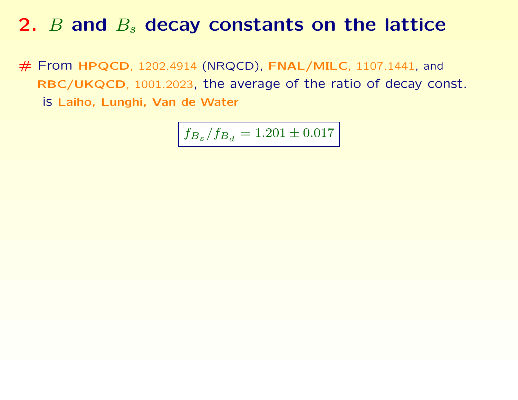# From HPQCD, 1202.4914 (NRQCD), FNAL/MILC, 1107.1441, and RBC/UKQCD, 1001.2023, the average of the ratio of decay const. is Laiho, Lunghi, Van de Water

$$
f_{B_s}/f_{B_d}=1.201\pm 0.017
$$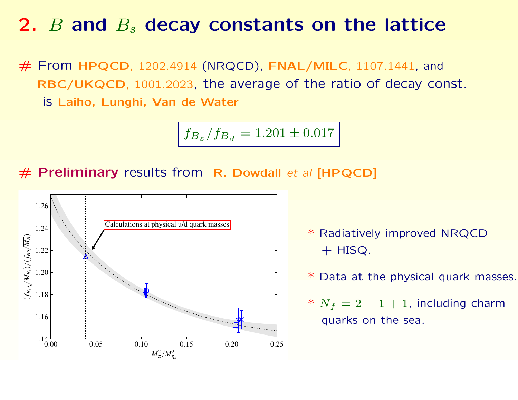# From HPQCD, 1202.4914 (NRQCD), FNAL/MILC, 1107.1441, and RBC/UKQCD, 1001.2023, the average of the ratio of decay const. is Laiho, Lunghi, Van de Water

$$
f_{B_s}/f_{B_d}=1.201\pm 0.017
$$

 $#$  Preliminary results from R. Dowdall et al [HPQCD]



- \* Radiatively improved NRQCD  $+$  HISQ.
- \* Data at the physical quark masses.
- \*  $N_f = 2 + 1 + 1$ , including charm quarks on the sea.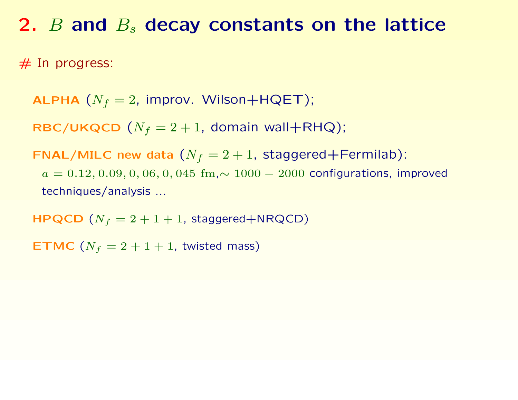$#$  In progress:

**ALPHA**  $(N_f = 2$ , improv. Wilson+HQET);

RBC/UKQCD  $(N_f = 2 + 1,$  domain wall+RHQ);

FNAL/MILC new data  $(N_f = 2 + 1,$  staggered+Fermilab):  $a = 0.12, 0.09, 0, 06, 0, 045$  fm, $\sim 1000 - 2000$  configurations, improved techniques/analysis ...

 $HPQCD$   $(N_f = 2 + 1 + 1$ , staggered+NRQCD)

**ETMC** ( $N_f = 2 + 1 + 1$ , twisted mass)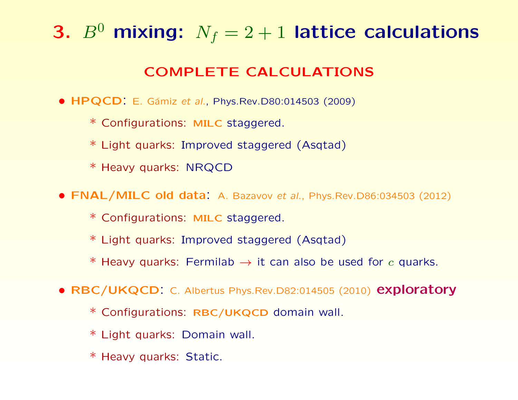# 3.  $B^0$  mixing:  $N_f = 2 + 1$  lattice calculations

#### COMPLETE CALCULATIONS

- $HPQCD$ : E. Gámiz et al., Phys.Rev.D80:014503 (2009)
	- \* Configurations: MILC staggered.
	- \* Light quarks: Improved staggered (Asqtad)
	- \* Heavy quarks: NRQCD
- FNAL/MILC old data: A. Bazavov et al., Phys.Rev.D86:034503 (2012)
	- \* Configurations: MILC staggered.
	- \* Light quarks: Improved staggered (Asqtad)
	- \* Heavy quarks: Fermilab  $\rightarrow$  it can also be used for c quarks.
- RBC/UKQCD: C. Albertus Phys.Rev.D82:014505 (2010) exploratory
	- \* Configurations: RBC/UKQCD domain wall.
	- \* Light quarks: Domain wall.
	- \* Heavy quarks: Static.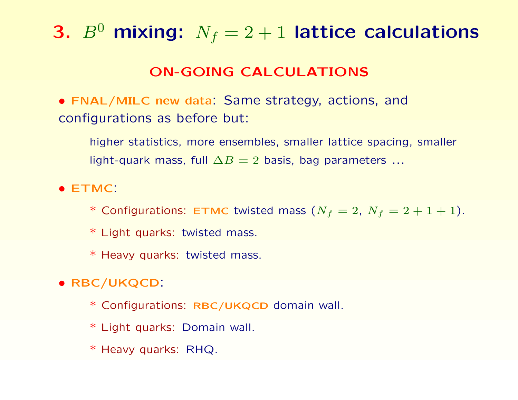# 3.  $B^0$  mixing:  $N_f = 2 + 1$  lattice calculations

#### ON-GOING CALCULATIONS

• FNAL/MILC new data: Same strategy, actions, and configurations as before but:

higher statistics, more ensembles, smaller lattice spacing, smaller light-quark mass, full  $\Delta B = 2$  basis, bag parameters ...

• ETMC:

\* Configurations: ETMC twisted mass  $(N_f = 2, N_f = 2 + 1 + 1)$ .

\* Light quarks: twisted mass.

\* Heavy quarks: twisted mass.

• RBC/UKQCD:

\* Configurations: RBC/UKQCD domain wall.

\* Light quarks: Domain wall.

\* Heavy quarks: RHQ.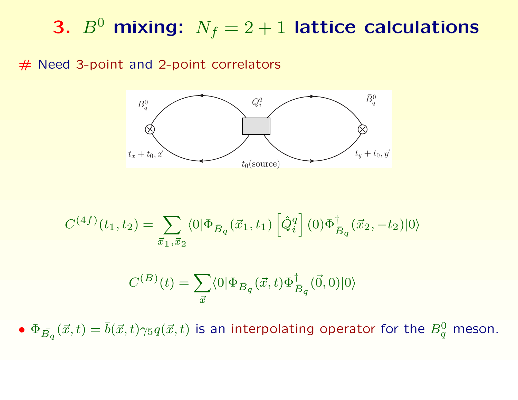# 3.  $B^0$  mixing:  $N_f = 2 + 1$  lattice calculations

#### # Need 3-point and 2-point correlators



$$
C^{(4f)}(t_1, t_2) = \sum_{\vec{x}_1, \vec{x}_2} \langle 0 | \Phi_{\bar{B}_q}(\vec{x}_1, t_1) [\hat{Q}_i^q] (0) \Phi_{\bar{B}_q}^{\dagger}(\vec{x}_2, -t_2) | 0 \rangle
$$

$$
C^{(B)}(t) = \sum_{\vec{x}} \langle 0 | \Phi_{\bar{B}_q}(\vec{x}, t) \Phi_{\bar{B}_q}^{\dagger}(\vec{0}, 0) | 0 \rangle
$$

•  $\Phi_{\bar{B_q}}(\vec{x},t)=\bar{b}(\vec{x},t)\gamma_5 q(\vec{x},t)$  is an interpolating operator for the  $B^0_q$  meson.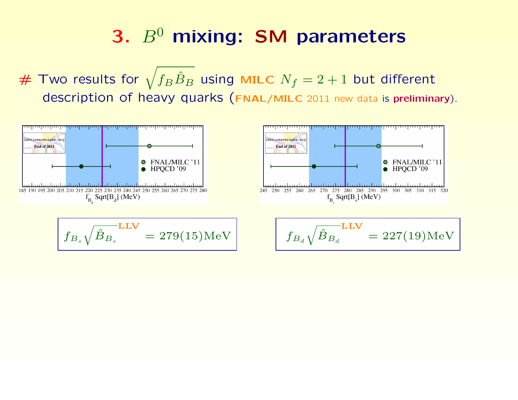$\#$  Two results for  $\sqrt{f_B \hat{B}_B}$  using MILC  $N_f = 2 + 1$  but different description of heavy quarks (FNAL/MILC 2011 new data is preliminary).

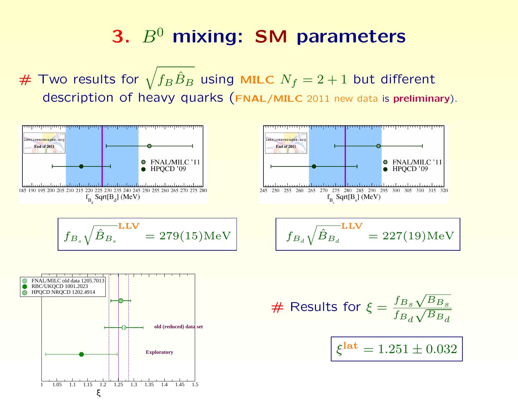$\#$  Two results for  $\sqrt{f_B \hat{B}_B}$  using MILC  $N_f = 2 + 1$  but different description of heavy quarks (FNAL/MILC 2011 new data is preliminary).



ξ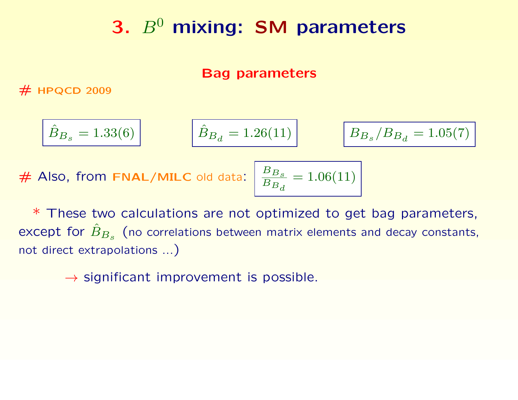#### Bag parameters

 $#$  HPQCD 2009

$$
\hat{B}_{B_s} = 1.33(6) \qquad \hat{B}_{B_d} = 1.26(11) \qquad \boxed{B_{B_s}/B_s}
$$

# Also, from **FNAL/MILC** old data: 
$$
\frac{B_{B_s}}{B_{B_d}} = 1.06(11)
$$

 $/B_{B_{d}}=1.05(7)$ 

\* These two calculations are not optimized to get bag parameters, except for  $\hat{B}_{B_s}$  (no correlations between matrix elements and decay constants, not direct extrapolations ...)

 $\rightarrow$  significant improvement is possible.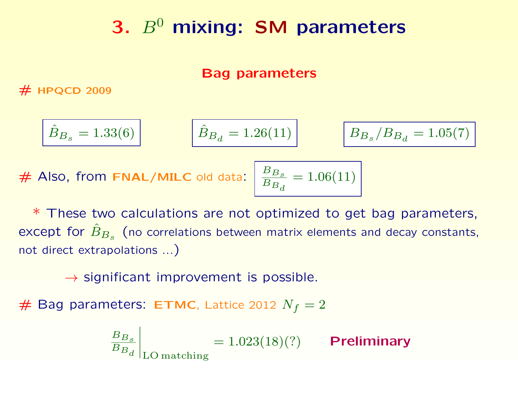#### Bag parameters

 $#$  HPQCD 2009

$$
\hat{B}_{B_s} = 1.33(6) \qquad \hat{B}_{B_d} = 1.26(11) \qquad \boxed{B_{B_s}}
$$

$$
B_{B_s}/B_{B_d}=1.05(7)
$$

# Also, from FNAL/MILC old data:  $\left| \frac{B_{B_s}}{B_s} \right|$  $B_{B_d}$  $= 1.06(11)$ 

\* These two calculations are not optimized to get bag parameters, except for  $\hat{B}_{B_s}$  (no correlations between matrix elements and decay constants, not direct extrapolations ...)

 $\rightarrow$  significant improvement is possible.

 $#$  Bag parameters: ETMC, Lattice 2012  $N_f = 2$ 

$$
\left. \frac{B_{B_s}}{B_{B_d}} \right|_{\text{LO matching}} = 1.023(18)(?) \qquad \text{Preliminary}
$$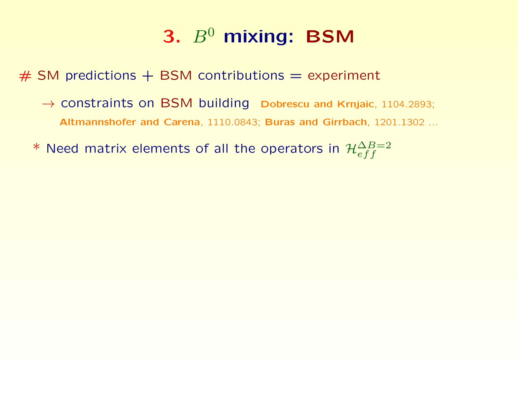## 3.  $B^0$  mixing: BSM

 $#$  SM predictions  $+$  BSM contributions  $=$  experiment

- → constraints on BSM building Dobrescu and Krnjaic, 1104.2893; Altmannshofer and Carena, 1110.0843; Buras and Girrbach, 1201.1302 ...
- \* Need matrix elements of all the operators in  $\mathcal{H}^{\Delta B=2}_{eff}$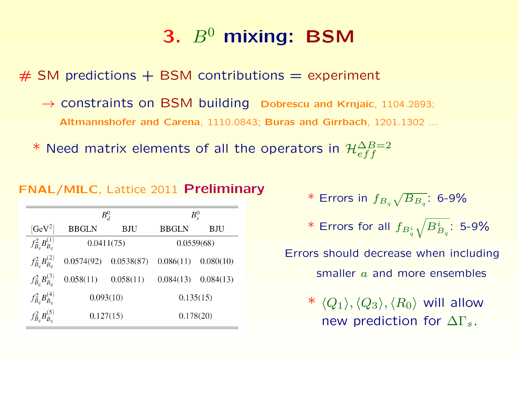# 3.  $B^0$  mixing: BSM

 $#$  SM predictions  $+$  BSM contributions  $=$  experiment

- $\rightarrow$  constraints on BSM building Dobrescu and Krnjaic, 1104.2893; Altmannshofer and Carena, 1110.0843; Buras and Girrbach, 1201.1302 ...
- \* Need matrix elements of all the operators in  $\mathcal{H}^{\Delta B=2}_{eff}$

#### FNAL/MILC, Lattice 2011 Preliminary

|                           | $B^0_d$      |            | $B_{s}^{0}$  |            |
|---------------------------|--------------|------------|--------------|------------|
| $[GeV^2]$                 | <b>BBGLN</b> | <b>BJU</b> | <b>BBGLN</b> | <b>BJU</b> |
| $f_{B_q}^2B_{B_q}^{(1)}$  |              | 0.0411(75) |              | 0.0559(68) |
| $f_{B_q}^2 B_{B_q}^{(2)}$ | 0.0574(92)   | 0.0538(87) | 0.086(11)    | 0.080(10)  |
| $f_{B_q}^2 B_{B_q}^{(3)}$ | 0.058(11)    | 0.058(11)  | 0.084(13)    | 0.084(13)  |
| $f_{B_q}^2 B_{B_q}^{(4)}$ |              | 0.093(10)  |              | 0.135(15)  |
| $f_{B_q}^2 B_{B_q}^{(5)}$ |              | 0.127(15)  |              | 0.178(20)  |

\* Errors in 
$$
f_{B_q} \sqrt{B_{B_q}}
$$
: 6-9%

 $*$  Errors for all  $f_{B_q^i}$  $\sqrt{B^i_{B_q}}$ : 5-9%

Errors should decrease when including smaller  $a$  and more ensembles

> \*  $\langle Q_1 \rangle$ ,  $\langle Q_3 \rangle$ ,  $\langle R_0 \rangle$  will allow new prediction for  $\Delta\Gamma_s$ .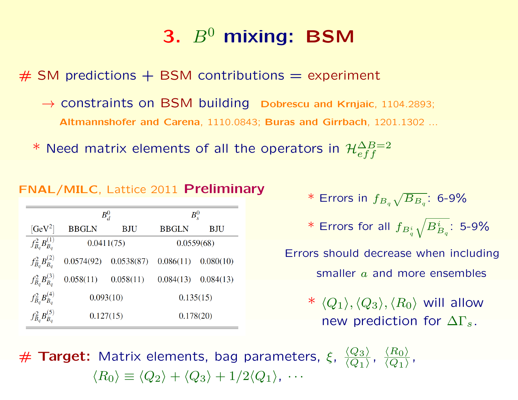# 3.  $B^0$  mixing: BSM

 $#$  SM predictions  $+$  BSM contributions  $=$  experiment

- $\rightarrow$  constraints on BSM building Dobrescu and Krnjaic, 1104.2893; Altmannshofer and Carena, 1110.0843; Buras and Girrbach, 1201.1302 ...
- \* Need matrix elements of all the operators in  $\mathcal{H}^{\Delta B=2}_{eff}$

#### FNAL/MILC, Lattice 2011 Preliminary

|                           | $B^0_d$      |            | $B_s^0$      |            |
|---------------------------|--------------|------------|--------------|------------|
| $[GeV^2]$                 | <b>BBGLN</b> | <b>BJU</b> | <b>BBGLN</b> | <b>BJU</b> |
| $f_{B_q}^2B_{B_q}^{(1)}$  | 0.0411(75)   |            |              | 0.0559(68) |
| $f_{B_q}^2 B_{B_q}^{(2)}$ | 0.0574(92)   | 0.0538(87) | 0.086(11)    | 0.080(10)  |
| $f_{B_q}^2 B_{B_q}^{(3)}$ | 0.058(11)    | 0.058(11)  | 0.084(13)    | 0.084(13)  |
| $f_{B_q}^2 B_{B_q}^{(4)}$ |              | 0.093(10)  |              | 0.135(15)  |
| $f_{B_q}^2 B_{B_q}^{(5)}$ |              | 0.127(15)  |              | 0.178(20)  |

\* Errors in 
$$
f_{B_q} \sqrt{B_{B_q}}
$$
: 6-9%

 $*$  Errors for all  $f_{B_q^i}$  $\sqrt{B^i_{B_q}}$ : 5-9%

Errors should decrease when including smaller a and more ensembles

\*  $\langle Q_1 \rangle$ ,  $\langle Q_3 \rangle$ ,  $\langle R_0 \rangle$  will allow new prediction for  $\Delta\Gamma_s$ .

 $#$  Target: Matrix elements, bag parameters,  $\xi, \frac{\langle Q_3 \rangle}{\langle Q_4 \rangle}$  $\langle Q_1 \rangle$ ,  $\langle R_0 \rangle$  $\langle Q_1 \rangle$ ,  $\langle R_0 \rangle \equiv \langle Q_2 \rangle + \langle Q_3 \rangle + 1/2\langle Q_1 \rangle$ , · · ·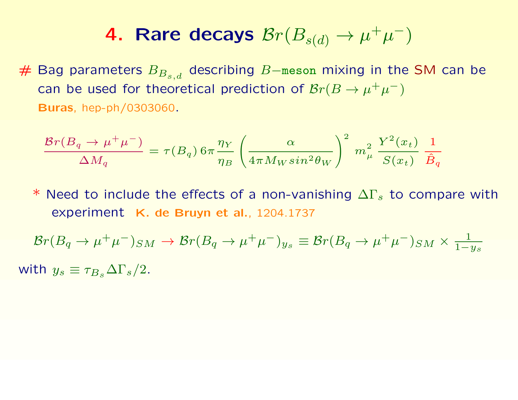# Bag parameters  $B_{B_{s,d}}$  describing B–meson mixing in the SM can be can be used for theoretical prediction of  $Br(B \to \mu^+ \mu^-)$ Buras, hep-ph/0303060.

$$
\frac{\mathcal{B}r(B_q\to \mu^+\mu^-)}{\Delta M_q} = \tau(B_q)\,6\pi \frac{\eta_Y}{\eta_B}\left(\frac{\alpha}{4\pi M_W sin^2\theta_W}\right)^2\,m_\mu^2\,\frac{Y^2(x_t)}{S(x_t)}\,\frac{1}{\hat{B}_q}
$$

\* Need to include the effects of a non-vanishing  $\Delta\Gamma_s$  to compare with experiment K. de Bruyn et al., 1204.1737

$$
\mathcal{B}r(B_q \to \mu^+\mu^-)_{SM} \to \mathcal{B}r(B_q \to \mu^+\mu^-)_{y_s} \equiv \mathcal{B}r(B_q \to \mu^+\mu^-)_{SM} \times \frac{1}{1-y_s}
$$

with  $y_s \equiv \tau_{B_s} \Delta \Gamma_s/2$ .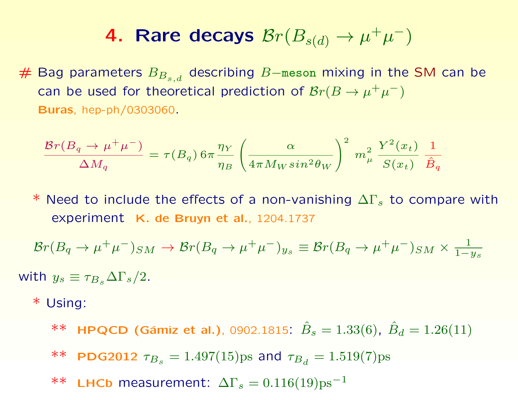# Bag parameters  $B_{B_{s,d}}$  describing B–meson mixing in the SM can be can be used for theoretical prediction of  $Br(B\to\mu^+\mu^-)$ Buras, hep-ph/0303060.

$$
\frac{\mathcal{B}r(B_q \to \mu^+ \mu^-)}{\Delta M_q} = \tau(B_q) 6\pi \frac{\eta_Y}{\eta_B} \left( \frac{\alpha}{4\pi M_W \sin^2 \theta_W} \right)^2 m_\mu^2 \frac{Y^2(x_t)}{S(x_t)} \frac{1}{\hat{B}_q}
$$

\* Need to include the effects of a non-vanishing  $\Delta\Gamma_s$  to compare with experiment K. de Bruyn et al., 1204.1737

$$
\mathcal{B}r(B_q \to \mu^+\mu^-)_{SM} \to \mathcal{B}r(B_q \to \mu^+\mu^-)_{y_s} \equiv \mathcal{B}r(B_q \to \mu^+\mu^-)_{SM} \times \frac{1}{1-y_s}
$$

with  $y_s \equiv \tau_{B_s} \Delta \Gamma_s/2$ .

\* Using:

\*\* HPQCD (Gámiz et al.), 0902.1815:  $\hat{B}_s = 1.33(6)$ ,  $\hat{B}_d = 1.26(11)$ \*\* PDG2012  $\tau_{B_s}=1.497(15) \text{ps}$  and  $\tau_{B_d}=1.519(7) \text{ps}$ \*\* LHCb measurement:  $\Delta\Gamma_s = 0.116(19) \text{ps}^{-1}$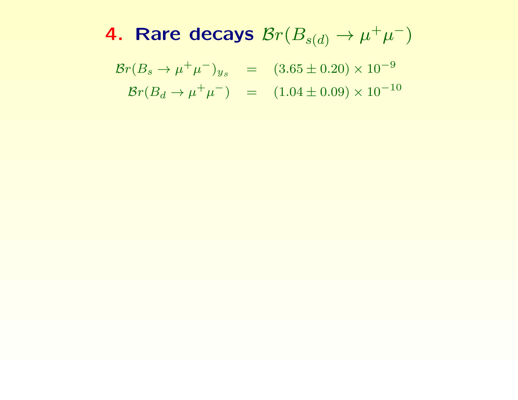$\mathcal{B}r(B_s \to \mu^+\mu^-)_{y_s} \quad = \quad (3.65 \pm 0.20) \times 10^{-9}$  $\mathcal{B}r(B_d \to \mu^+ \mu^-)$  =  $(1.04 \pm 0.09) \times 10^{-10}$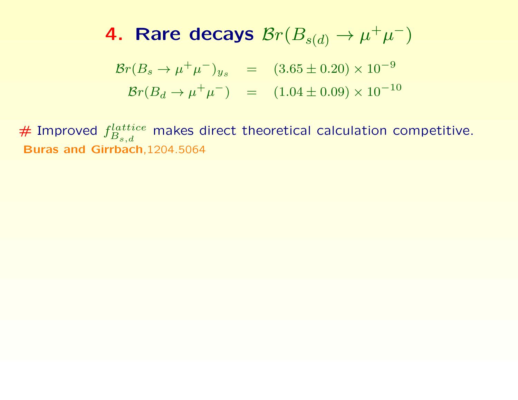$$
\mathcal{B}r(B_s \to \mu^+ \mu^-)_{y_s} = (3.65 \pm 0.20) \times 10^{-9}
$$
  

$$
\mathcal{B}r(B_d \to \mu^+ \mu^-) = (1.04 \pm 0.09) \times 10^{-10}
$$

 $#$  Improved  $f_R^{lattice}$  $B_{s,d}$ makes direct theoretical calculation competitive. Buras and Girrbach,1204.5064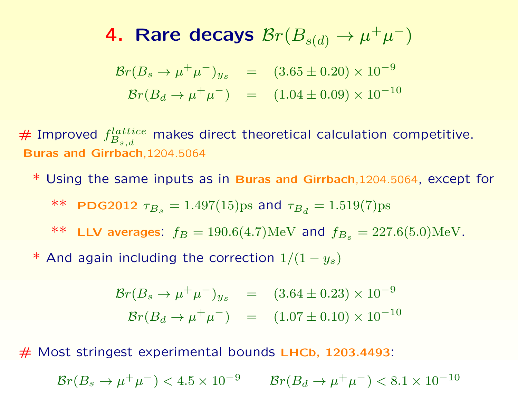$\mathcal{B}r(B_s \to \mu^+\mu^-)_{y_s}$  =  $(3.65 \pm 0.20) \times 10^{-9}$  $\mathcal{B}r(B_d \to \mu^+ \mu^-)$  =  $(1.04 \pm 0.09) \times 10^{-10}$ 

 $#$  Improved  $f_R^{lattice}$  $B_{s,d}$ makes direct theoretical calculation competitive. Buras and Girrbach,1204.5064

\* Using the same inputs as in Buras and Girrbach,1204.5064, except for

\*\* PDG2012  $\tau_{B_s}=1.497(15) \text{ps}$  and  $\tau_{B_d}=1.519(7) \text{ps}$ 

\*\* LLV averages:  $f_B = 190.6(4.7) \text{MeV}$  and  $f_{B_s} = 227.6(5.0) \text{MeV}$ .

\* And again including the correction  $1/(1 - y_s)$ 

$$
\mathcal{B}r(B_s \to \mu^+ \mu^-)_{y_s} = (3.64 \pm 0.23) \times 10^{-9}
$$
  

$$
\mathcal{B}r(B_d \to \mu^+ \mu^-) = (1.07 \pm 0.10) \times 10^{-10}
$$

# Most stringest experimental bounds LHCb, 1203.4493:

 ${\cal B}r(B_s \to \mu^+\mu^-) < 4.5 \times 10^{-9} \qquad {\cal B}r(B_d \to \mu^+\mu^-) < 8.1 \times 10^{-10}$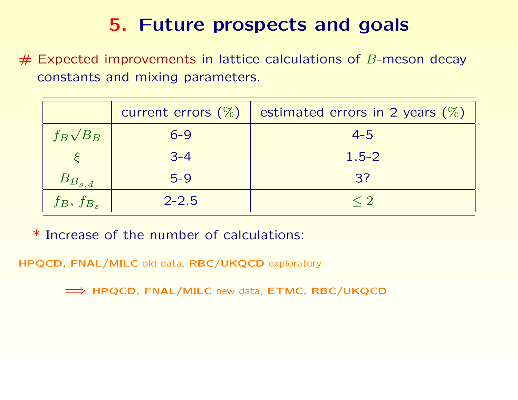$#$  Expected improvements in lattice calculations of B-meson decay constants and mixing parameters.

|                 | current errors $(\%)$ | estimated errors in 2 years $(\%)$ |
|-----------------|-----------------------|------------------------------------|
| $f_B\sqrt{B_B}$ | $6 - 9$               | $4 - 5$                            |
|                 | $3 - 4$               | $1.5 - 2$                          |
| $ B_{B_{s,d}} $ | $5 - 9$               | 3?                                 |
| $f_B, f_{B_s}$  | $2 - 2.5$             | < 2                                |

\* Increase of the number of calculations:

HPQCD, FNAL/MILC old data, RBC/UKQCD exploratory

 $\implies$  HPQCD, FNAL/MILC new data, ETMC, RBC/UKQCD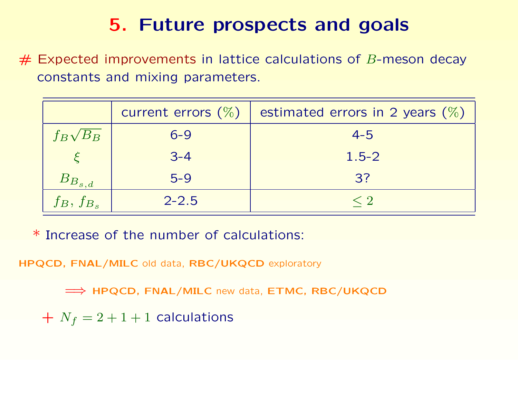$#$  Expected improvements in lattice calculations of B-meson decay constants and mixing parameters.

|                 | current errors $(\%)$ | estimated errors in 2 years $(\%)$ |
|-----------------|-----------------------|------------------------------------|
| $f_B\sqrt{B_B}$ | $6 - 9$               | $4 - 5$                            |
|                 | $3 - 4$               | $1.5 - 2$                          |
| $B_{B_{s,d}}$   | $5-9$                 | 3?                                 |
| $f_B, f_{B_s}$  | $2 - 2.5$             | $<$ ?                              |

\* Increase of the number of calculations:

HPQCD, FNAL/MILC old data, RBC/UKQCD exploratory

 $\implies$  HPQCD, FNAL/MILC new data, ETMC, RBC/UKQCD

 $+ N_f = 2 + 1 + 1$  calculations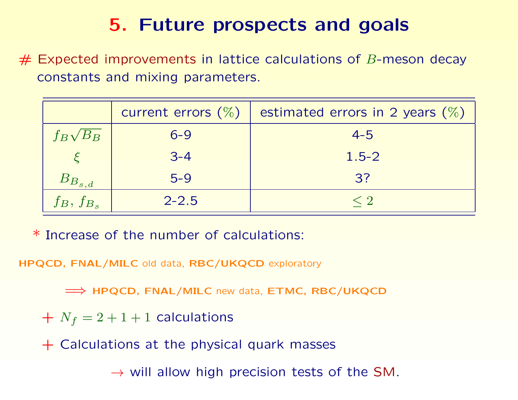$#$  Expected improvements in lattice calculations of B-meson decay constants and mixing parameters.

|                 | current errors $(\%)$ | estimated errors in 2 years $(\%)$ |
|-----------------|-----------------------|------------------------------------|
| $f_B\sqrt{B_B}$ | $6 - 9$               | $4 - 5$                            |
|                 | $3 - 4$               | $1.5 - 2$                          |
| $B_{B_{s,d}}$   | $5-9$                 | 3?                                 |
| $f_B, f_{B_s}$  | $2 - 2.5$             |                                    |

\* Increase of the number of calculations:

HPQCD, FNAL/MILC old data, RBC/UKQCD exploratory

 $\implies$  HPQCD, FNAL/MILC new data, ETMC, RBC/UKQCD

 $+ N_f = 2 + 1 + 1$  calculations

+ Calculations at the physical quark masses

 $\rightarrow$  will allow high precision tests of the SM.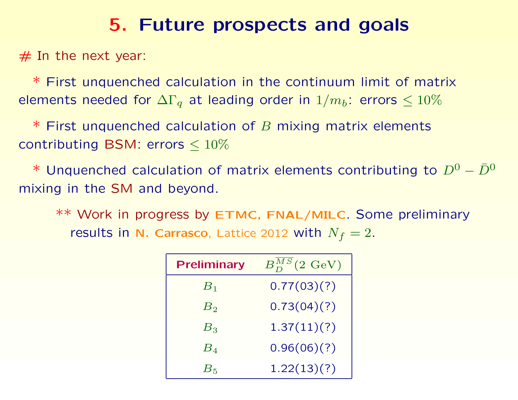$#$  In the next year:

\* First unquenched calculation in the continuum limit of matrix elements needed for  $\Delta\Gamma_q$  at leading order in  $1/m_b$ : errors  $\leq 10\%$ 

 $*$  First unquenched calculation of  $B$  mixing matrix elements contributing BSM: errors  $\leq 10\%$ 

\* Unquenched calculation of matrix elements contributing to  $D^0 - \bar{D}^0$ mixing in the SM and beyond.

\*\* Work in progress by ETMC, FNAL/MILC. Some preliminary results in N. Carrasco, Lattice 2012 with  $N_f = 2$ .

| <b>Preliminary</b> | $B_D^{MS}(2~{\rm GeV})$ |
|--------------------|-------------------------|
| $B_1$              | 0.77(03)(?)             |
| $B_2$              | 0.73(04)(?)             |
| $B_3$              | 1.37(11)(?)             |
| $B_{4}$            | 0.96(06)(?)             |
| $B_{\mathrm{5}}$   | 1.22(13)(?)             |